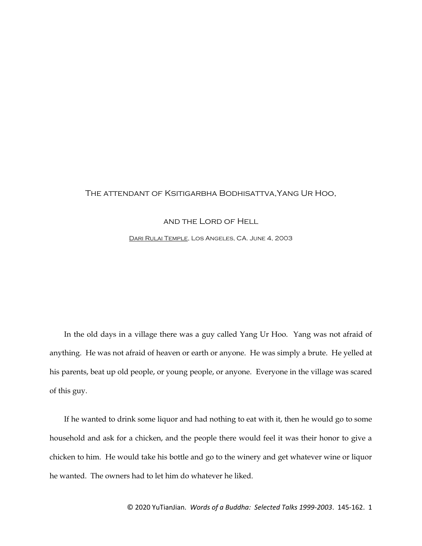## The attendant of Ksitigarbha Bodhisattva,Yang Ur Hoo,

## and the Lord of Hell

[Dari Rulai Temple,](http://www.darirulai.org/) Los Angeles, CA. June 4, 2003

In the old days in a village there was a guy called Yang Ur Hoo. Yang was not afraid of anything. He was not afraid of heaven or earth or anyone. He was simply a brute. He yelled at his parents, beat up old people, or young people, or anyone. Everyone in the village was scared of this guy.

If he wanted to drink some liquor and had nothing to eat with it, then he would go to some household and ask for a chicken, and the people there would feel it was their honor to give a chicken to him. He would take his bottle and go to the winery and get whatever wine or liquor he wanted. The owners had to let him do whatever he liked.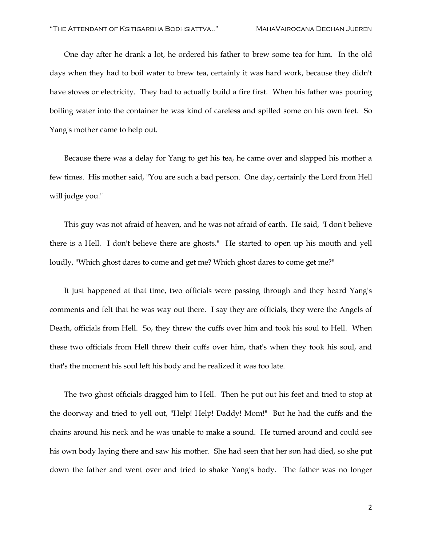One day after he drank a lot, he ordered his father to brew some tea for him. In the old days when they had to boil water to brew tea, certainly it was hard work, because they didn't have stoves or electricity. They had to actually build a fire first. When his father was pouring boiling water into the container he was kind of careless and spilled some on his own feet. So Yang's mother came to help out.

Because there was a delay for Yang to get his tea, he came over and slapped his mother a few times. His mother said, "You are such a bad person. One day, certainly the Lord from Hell will judge you."

This guy was not afraid of heaven, and he was not afraid of earth. He said, "I don't believe there is a Hell. I don't believe there are ghosts." He started to open up his mouth and yell loudly, "Which ghost dares to come and get me? Which ghost dares to come get me?"

It just happened at that time, two officials were passing through and they heard Yang's comments and felt that he was way out there. I say they are officials, they were the Angels of Death, officials from Hell. So, they threw the cuffs over him and took his soul to Hell. When these two officials from Hell threw their cuffs over him, that's when they took his soul, and that's the moment his soul left his body and he realized it was too late.

The two ghost officials dragged him to Hell. Then he put out his feet and tried to stop at the doorway and tried to yell out, "Help! Help! Daddy! Mom!" But he had the cuffs and the chains around his neck and he was unable to make a sound. He turned around and could see his own body laying there and saw his mother. She had seen that her son had died, so she put down the father and went over and tried to shake Yang's body. The father was no longer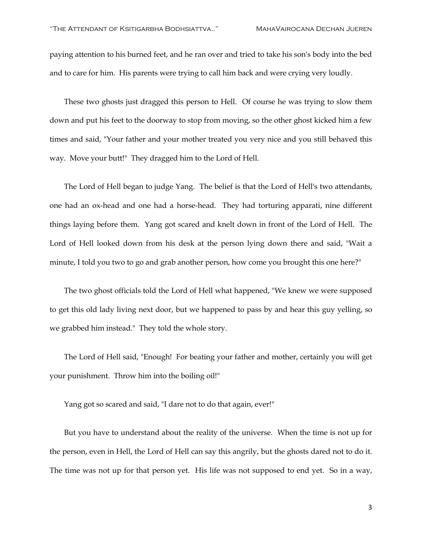paying attention to his burned feet, and he ran over and tried to take his son's body into the bed and to care for him. His parents were trying to call him back and were crying very loudly.

These two ghosts just dragged this person to Hell. Of course he was trying to slow them down and put his feet to the doorway to stop from moving, so the other ghost kicked him a few times and said, "Your father and your mother treated you very nice and you still behaved this way. Move your butt!" They dragged him to the Lord of Hell.

The Lord of Hell began to judge Yang. The belief is that the Lord of Hell's two attendants, one had an ox-head and one had a horse-head. They had torturing apparati, nine different things laying before them. Yang got scared and knelt down in front of the Lord of Hell. The Lord of Hell looked down from his desk at the person lying down there and said, "Wait a minute, I told you two to go and grab another person, how come you brought this one here?"

The two ghost officials told the Lord of Hell what happened, "We knew we were supposed to get this old lady living next door, but we happened to pass by and hear this guy yelling, so we grabbed him instead." They told the whole story.

The Lord of Hell said, "Enough! For beating your father and mother, certainly you will get your punishment. Throw him into the boiling oil!"

Yang got so scared and said, "I dare not to do that again, ever!"

But you have to understand about the reality of the universe. When the time is not up for the person, even in Hell, the Lord of Hell can say this angrily, but the ghosts dared not to do it. The time was not up for that person yet. His life was not supposed to end yet. So in a way,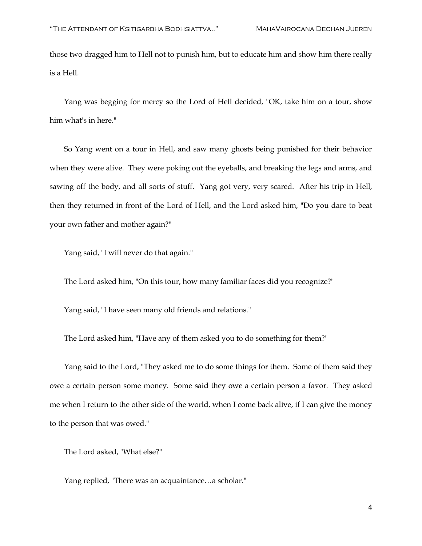those two dragged him to Hell not to punish him, but to educate him and show him there really is a Hell.

Yang was begging for mercy so the Lord of Hell decided, "OK, take him on a tour, show him what's in here."

So Yang went on a tour in Hell, and saw many ghosts being punished for their behavior when they were alive. They were poking out the eyeballs, and breaking the legs and arms, and sawing off the body, and all sorts of stuff. Yang got very, very scared. After his trip in Hell, then they returned in front of the Lord of Hell, and the Lord asked him, "Do you dare to beat your own father and mother again?"

Yang said, "I will never do that again."

The Lord asked him, "On this tour, how many familiar faces did you recognize?"

Yang said, "I have seen many old friends and relations."

The Lord asked him, "Have any of them asked you to do something for them?"

Yang said to the Lord, "They asked me to do some things for them. Some of them said they owe a certain person some money. Some said they owe a certain person a favor. They asked me when I return to the other side of the world, when I come back alive, if I can give the money to the person that was owed."

The Lord asked, "What else?"

Yang replied, "There was an acquaintance…a scholar."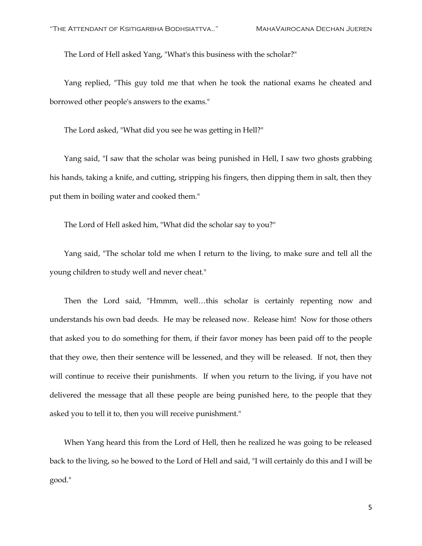The Lord of Hell asked Yang, "What's this business with the scholar?"

Yang replied, "This guy told me that when he took the national exams he cheated and borrowed other people's answers to the exams."

The Lord asked, "What did you see he was getting in Hell?"

Yang said, "I saw that the scholar was being punished in Hell, I saw two ghosts grabbing his hands, taking a knife, and cutting, stripping his fingers, then dipping them in salt, then they put them in boiling water and cooked them."

The Lord of Hell asked him, "What did the scholar say to you?"

Yang said, "The scholar told me when I return to the living, to make sure and tell all the young children to study well and never cheat."

Then the Lord said, "Hmmm, well…this scholar is certainly repenting now and understands his own bad deeds. He may be released now. Release him! Now for those others that asked you to do something for them, if their favor money has been paid off to the people that they owe, then their sentence will be lessened, and they will be released. If not, then they will continue to receive their punishments. If when you return to the living, if you have not delivered the message that all these people are being punished here, to the people that they asked you to tell it to, then you will receive punishment."

When Yang heard this from the Lord of Hell, then he realized he was going to be released back to the living, so he bowed to the Lord of Hell and said, "I will certainly do this and I will be good."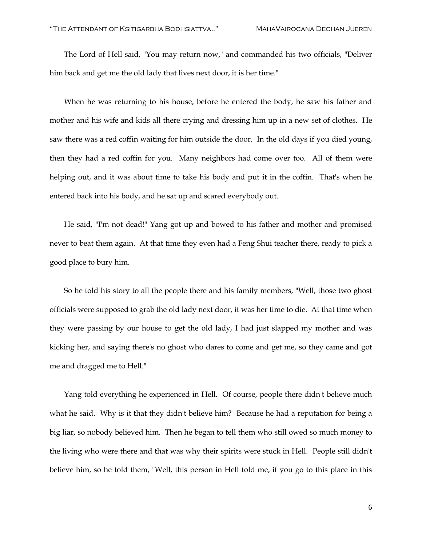The Lord of Hell said, "You may return now," and commanded his two officials, "Deliver him back and get me the old lady that lives next door, it is her time."

When he was returning to his house, before he entered the body, he saw his father and mother and his wife and kids all there crying and dressing him up in a new set of clothes. He saw there was a red coffin waiting for him outside the door. In the old days if you died young, then they had a red coffin for you. Many neighbors had come over too. All of them were helping out, and it was about time to take his body and put it in the coffin. That's when he entered back into his body, and he sat up and scared everybody out.

He said, "I'm not dead!" Yang got up and bowed to his father and mother and promised never to beat them again. At that time they even had a Feng Shui teacher there, ready to pick a good place to bury him.

So he told his story to all the people there and his family members, "Well, those two ghost officials were supposed to grab the old lady next door, it was her time to die. At that time when they were passing by our house to get the old lady, I had just slapped my mother and was kicking her, and saying there's no ghost who dares to come and get me, so they came and got me and dragged me to Hell."

Yang told everything he experienced in Hell. Of course, people there didn't believe much what he said. Why is it that they didn't believe him? Because he had a reputation for being a big liar, so nobody believed him. Then he began to tell them who still owed so much money to the living who were there and that was why their spirits were stuck in Hell. People still didn't believe him, so he told them, "Well, this person in Hell told me, if you go to this place in this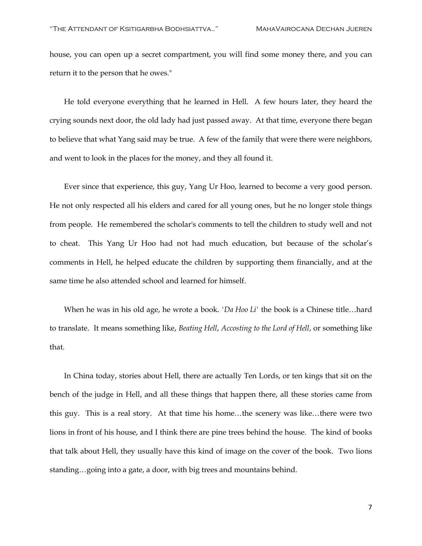house, you can open up a secret compartment, you will find some money there, and you can return it to the person that he owes."

He told everyone everything that he learned in Hell. A few hours later, they heard the crying sounds next door, the old lady had just passed away. At that time, everyone there began to believe that what Yang said may be true. A few of the family that were there were neighbors, and went to look in the places for the money, and they all found it.

Ever since that experience, this guy, Yang Ur Hoo, learned to become a very good person. He not only respected all his elders and cared for all young ones, but he no longer stole things from people. He remembered the scholar's comments to tell the children to study well and not to cheat. This Yang Ur Hoo had not had much education, but because of the scholar's comments in Hell, he helped educate the children by supporting them financially, and at the same time he also attended school and learned for himself.

When he was in his old age, he wrote a book. *'Da Hoo Li'* the book is a Chinese title…hard to translate. It means something like, *Beating Hell*, *Accosting to the Lord of Hell*, or something like that.

In China today, stories about Hell, there are actually Ten Lords, or ten kings that sit on the bench of the judge in Hell, and all these things that happen there, all these stories came from this guy. This is a real story. At that time his home…the scenery was like…there were two lions in front of his house, and I think there are pine trees behind the house. The kind of books that talk about Hell, they usually have this kind of image on the cover of the book. Two lions standing…going into a gate, a door, with big trees and mountains behind.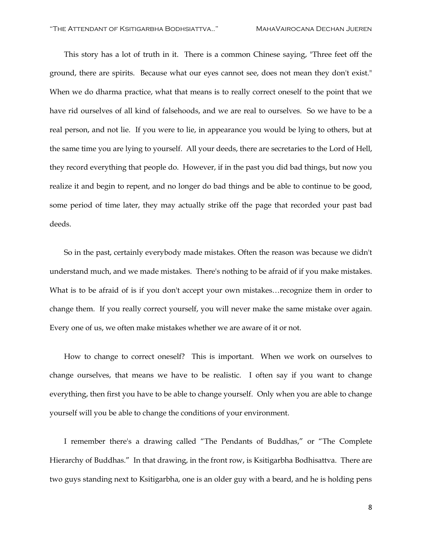This story has a lot of truth in it. There is a common Chinese saying, "Three feet off the ground, there are spirits. Because what our eyes cannot see, does not mean they don't exist." When we do dharma practice, what that means is to really correct oneself to the point that we have rid ourselves of all kind of falsehoods, and we are real to ourselves. So we have to be a real person, and not lie. If you were to lie, in appearance you would be lying to others, but at the same time you are lying to yourself. All your deeds, there are secretaries to the Lord of Hell, they record everything that people do. However, if in the past you did bad things, but now you realize it and begin to repent, and no longer do bad things and be able to continue to be good, some period of time later, they may actually strike off the page that recorded your past bad deeds.

So in the past, certainly everybody made mistakes. Often the reason was because we didn't understand much, and we made mistakes. There's nothing to be afraid of if you make mistakes. What is to be afraid of is if you don't accept your own mistakes…recognize them in order to change them. If you really correct yourself, you will never make the same mistake over again. Every one of us, we often make mistakes whether we are aware of it or not.

How to change to correct oneself? This is important. When we work on ourselves to change ourselves, that means we have to be realistic. I often say if you want to change everything, then first you have to be able to change yourself. Only when you are able to change yourself will you be able to change the conditions of your environment.

I remember there's a drawing called "The Pendants of Buddhas," or "The Complete Hierarchy of Buddhas." In that drawing, in the front row, is Ksitigarbha Bodhisattva. There are two guys standing next to Ksitigarbha, one is an older guy with a beard, and he is holding pens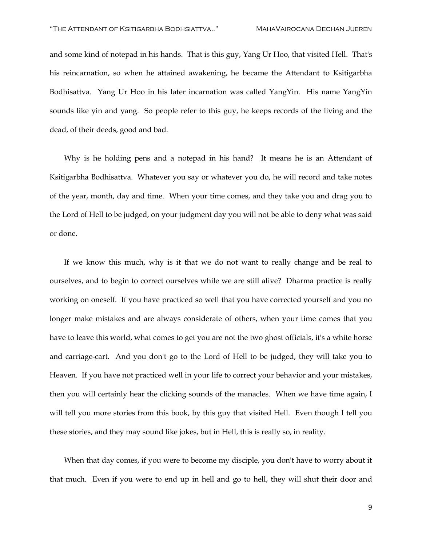and some kind of notepad in his hands. That is this guy, Yang Ur Hoo, that visited Hell. That's his reincarnation, so when he attained awakening, he became the Attendant to Ksitigarbha Bodhisattva. Yang Ur Hoo in his later incarnation was called YangYin. His name YangYin sounds like yin and yang. So people refer to this guy, he keeps records of the living and the dead, of their deeds, good and bad.

Why is he holding pens and a notepad in his hand? It means he is an Attendant of Ksitigarbha Bodhisattva. Whatever you say or whatever you do, he will record and take notes of the year, month, day and time. When your time comes, and they take you and drag you to the Lord of Hell to be judged, on your judgment day you will not be able to deny what was said or done.

If we know this much, why is it that we do not want to really change and be real to ourselves, and to begin to correct ourselves while we are still alive? Dharma practice is really working on oneself. If you have practiced so well that you have corrected yourself and you no longer make mistakes and are always considerate of others, when your time comes that you have to leave this world, what comes to get you are not the two ghost officials, it's a white horse and carriage-cart. And you don't go to the Lord of Hell to be judged, they will take you to Heaven. If you have not practiced well in your life to correct your behavior and your mistakes, then you will certainly hear the clicking sounds of the manacles. When we have time again, I will tell you more stories from this book, by this guy that visited Hell. Even though I tell you these stories, and they may sound like jokes, but in Hell, this is really so, in reality.

When that day comes, if you were to become my disciple, you don't have to worry about it that much. Even if you were to end up in hell and go to hell, they will shut their door and